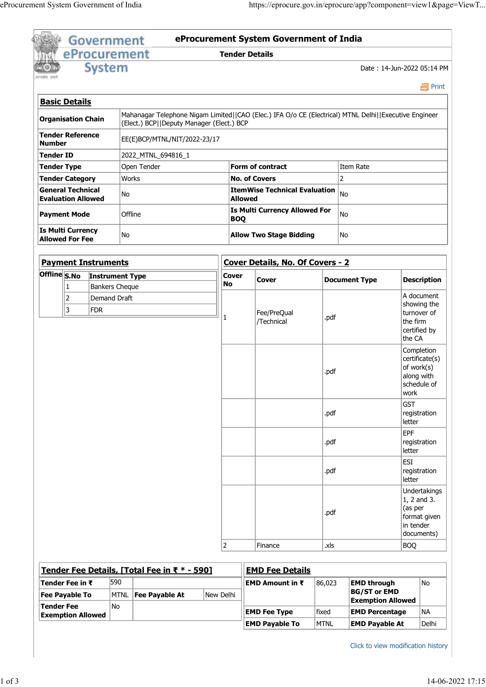|                     | eProcurement System Government of India     |                            |                                                                                                       |                    |                                                                                                            |                      |                                                                       |                                                                                     |  |
|---------------------|---------------------------------------------|----------------------------|-------------------------------------------------------------------------------------------------------|--------------------|------------------------------------------------------------------------------------------------------------|----------------------|-----------------------------------------------------------------------|-------------------------------------------------------------------------------------|--|
|                     |                                             | Government                 |                                                                                                       |                    | https://eprocure.gov.in/eprocure/app?component=view1&page=ViewT<br>eProcurement System Government of India |                      |                                                                       |                                                                                     |  |
|                     |                                             | <b>System</b>              | eProcurement                                                                                          |                    | <b>Tender Details</b>                                                                                      |                      |                                                                       | Date: 14-Jun-2022 05:14 PM                                                          |  |
| सन्यमेव जयले        |                                             |                            |                                                                                                       |                    |                                                                                                            |                      |                                                                       | 昌Print                                                                              |  |
|                     | <b>Basic Details</b>                        |                            | Mahanagar Telephone Nigam Limited  CAO (Elec.) IFA O/o CE (Electrical) MTNL Delhi  Executive Engineer |                    |                                                                                                            |                      |                                                                       |                                                                                     |  |
|                     | Organisation Chain<br>Tender Reference      |                            | (Elect.) BCP  Deputy Manager (Elect.) BCP                                                             |                    |                                                                                                            |                      |                                                                       |                                                                                     |  |
| Number<br>Tender ID |                                             |                            | EE(E)BCP/MTNL/NIT/2022-23/17<br>2022_MTNL_694816_1                                                    |                    |                                                                                                            |                      |                                                                       |                                                                                     |  |
|                     | Tender Type                                 |                            | Open Tender                                                                                           |                    | Form of contract                                                                                           |                      | Item Rate                                                             |                                                                                     |  |
|                     | Tender Category<br><b>General Technical</b> |                            | Works<br>No                                                                                           |                    | <b>No. of Covers</b><br><b>ItemWise Technical Evaluation</b> $ _{No}$                                      |                      | 2                                                                     |                                                                                     |  |
|                     | <b>Evaluation Allowed</b>                   |                            |                                                                                                       |                    | <b>Allowed</b><br>Is Multi Currency Allowed For                                                            |                      |                                                                       |                                                                                     |  |
|                     | Payment Mode<br>Is Multi Currency           |                            | Offline                                                                                               | <b>BOQ</b>         |                                                                                                            |                      | No                                                                    |                                                                                     |  |
|                     | <b>Allowed For Fee</b>                      |                            | No                                                                                                    |                    | <b>Allow Two Stage Bidding</b>                                                                             |                      | No                                                                    |                                                                                     |  |
|                     | <b>Payment Instruments</b>                  |                            |                                                                                                       |                    | Cover Details, No. Of Covers - 2                                                                           |                      |                                                                       |                                                                                     |  |
|                     | 1                                           | Bankers Cheque             | Offline S.No Instrument Type                                                                          | <b>Cover</b><br>No | Cover                                                                                                      | <b>Document Type</b> |                                                                       | <b>Description</b>                                                                  |  |
|                     | 2<br>3                                      | Demand Draft<br><b>FDR</b> |                                                                                                       |                    | Fee/PreQual<br>/Technical                                                                                  | .pdf                 |                                                                       | A document<br>showing the<br>turnover of<br>the firm<br>certified by                |  |
|                     |                                             |                            |                                                                                                       |                    |                                                                                                            | .pdf                 |                                                                       | the CA<br>Completion<br>certificate(s)<br>of work(s)<br>along with<br>schedule of   |  |
|                     |                                             |                            |                                                                                                       |                    |                                                                                                            | .pdf                 |                                                                       | work<br>GST<br>registration                                                         |  |
|                     |                                             |                            |                                                                                                       |                    |                                                                                                            | .pdf                 |                                                                       | letter<br>EPF<br>registration<br>letter                                             |  |
|                     |                                             |                            |                                                                                                       |                    |                                                                                                            | .pdf                 |                                                                       | <b>ESI</b><br>registration<br>letter                                                |  |
|                     |                                             |                            |                                                                                                       |                    |                                                                                                            | .pdf                 |                                                                       | Undertakings<br>$1, 2$ and 3.<br>(as per<br>format given<br>in tender<br>documents) |  |
|                     |                                             |                            |                                                                                                       | 2                  | Finance                                                                                                    | xls.                 |                                                                       | BOQ                                                                                 |  |
|                     |                                             |                            | Tender Fee Details, [Total Fee in ₹ * - 590]                                                          |                    | <b>EMD Fee Details</b>                                                                                     |                      |                                                                       |                                                                                     |  |
|                     | Tender Fee in ₹<br>Fee Payable To           | 590                        | MTNL <b>Fee Payable At</b>                                                                            | New Delhi          | EMD Amount in ₹                                                                                            | 86,023               | <b>EMD through</b><br><b>BG/ST or EMD</b><br><b>Exemption Allowed</b> | No                                                                                  |  |
|                     | Tender Fee                                  | No                         |                                                                                                       |                    |                                                                                                            |                      |                                                                       |                                                                                     |  |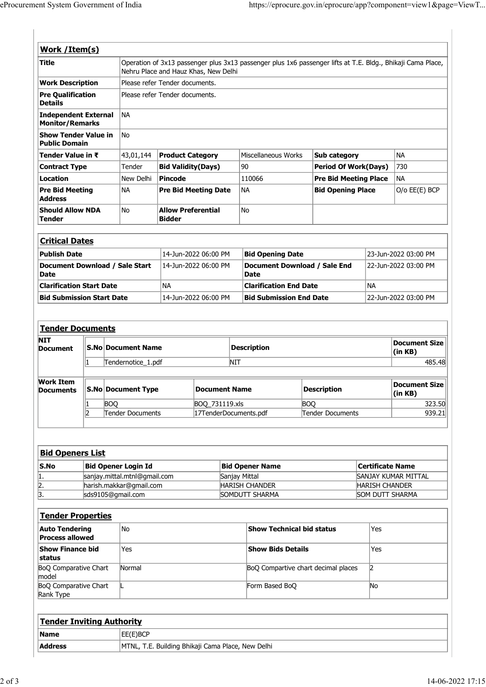| eProcurement System Government of India             |                           |  |                    |                                            |                                                                                                                                                     |            |                                             |                                                                 |                              |                            |  |
|-----------------------------------------------------|---------------------------|--|--------------------|--------------------------------------------|-----------------------------------------------------------------------------------------------------------------------------------------------------|------------|---------------------------------------------|-----------------------------------------------------------------|------------------------------|----------------------------|--|
|                                                     |                           |  |                    |                                            |                                                                                                                                                     |            |                                             |                                                                 |                              |                            |  |
|                                                     |                           |  |                    |                                            |                                                                                                                                                     |            |                                             |                                                                 |                              |                            |  |
|                                                     |                           |  |                    |                                            |                                                                                                                                                     |            |                                             |                                                                 |                              |                            |  |
|                                                     |                           |  |                    |                                            |                                                                                                                                                     |            |                                             |                                                                 |                              |                            |  |
|                                                     |                           |  |                    |                                            |                                                                                                                                                     |            |                                             |                                                                 |                              |                            |  |
|                                                     |                           |  |                    |                                            |                                                                                                                                                     |            |                                             |                                                                 |                              |                            |  |
|                                                     |                           |  |                    |                                            |                                                                                                                                                     |            |                                             |                                                                 |                              |                            |  |
|                                                     |                           |  |                    |                                            |                                                                                                                                                     |            |                                             | https://eprocure.gov.in/eprocure/app?component=view1&page=ViewT |                              |                            |  |
|                                                     |                           |  |                    |                                            |                                                                                                                                                     |            |                                             |                                                                 |                              |                            |  |
|                                                     |                           |  |                    |                                            |                                                                                                                                                     |            |                                             |                                                                 |                              |                            |  |
| Work / Item(s)                                      |                           |  |                    |                                            |                                                                                                                                                     |            |                                             |                                                                 |                              |                            |  |
| <b>Title</b>                                        |                           |  |                    |                                            |                                                                                                                                                     |            |                                             |                                                                 |                              |                            |  |
|                                                     |                           |  |                    |                                            | Operation of 3x13 passenger plus 3x13 passenger plus 1x6 passenger lifts at T.E. Bldg., Bhikaji Cama Place,<br>Nehru Place and Hauz Khas, New Delhi |            |                                             |                                                                 |                              |                            |  |
| <b>Work Description</b>                             |                           |  |                    | Please refer Tender documents.             |                                                                                                                                                     |            |                                             |                                                                 |                              |                            |  |
| <b>Pre Qualification</b><br><b>Details</b>          |                           |  |                    |                                            | Please refer Tender documents.                                                                                                                      |            |                                             |                                                                 |                              |                            |  |
| <b>Independent External</b>                         |                           |  | <b>NA</b>          |                                            |                                                                                                                                                     |            |                                             |                                                                 |                              |                            |  |
| <b>Monitor/Remarks</b>                              |                           |  |                    |                                            |                                                                                                                                                     |            |                                             |                                                                 |                              |                            |  |
| <b>Show Tender Value in</b><br><b>Public Domain</b> |                           |  | No                 |                                            |                                                                                                                                                     |            |                                             |                                                                 |                              |                            |  |
| Tender Value in ₹                                   |                           |  |                    | $ 43,01,144 $ Product Category             |                                                                                                                                                     |            | Miscellaneous Works                         | Sub category                                                    |                              | NA                         |  |
| <b>Contract Type</b>                                |                           |  | Tender             | <b>Bid Validity(Days)</b>                  |                                                                                                                                                     | 90         |                                             |                                                                 | <b>Period Of Work(Days)</b>  |                            |  |
| <b>Location</b>                                     |                           |  | New Delhi          | <b>Pincode</b>                             |                                                                                                                                                     |            | 110066                                      |                                                                 | <b>Pre Bid Meeting Place</b> |                            |  |
| <b>Pre Bid Meeting</b>                              |                           |  | <b>NA</b>          |                                            | <b>Pre Bid Meeting Date</b>                                                                                                                         | NA         |                                             | <b>Bid Opening Place</b>                                        |                              | <b>NA</b><br>O/o EE(E) BCP |  |
| <b>Address</b>                                      |                           |  |                    |                                            |                                                                                                                                                     |            |                                             |                                                                 |                              |                            |  |
| <b>Should Allow NDA</b><br><b>Tender</b>            |                           |  | No                 | <b>Allow Preferential</b><br><b>Bidder</b> |                                                                                                                                                     | No         |                                             |                                                                 |                              |                            |  |
|                                                     |                           |  |                    |                                            |                                                                                                                                                     |            |                                             |                                                                 |                              |                            |  |
| <b>Critical Dates</b>                               |                           |  |                    |                                            |                                                                                                                                                     |            |                                             |                                                                 |                              |                            |  |
| <b>Publish Date</b>                                 |                           |  |                    |                                            | 14-Jun-2022 06:00 PM                                                                                                                                |            | <b>Bid Opening Date</b>                     |                                                                 | 23-Jun-2022 03:00 PM         |                            |  |
| Document Download / Sale Start<br><b>Date</b>       |                           |  |                    |                                            | 14-Jun-2022 06:00 PM                                                                                                                                |            | Document Download / Sale End<br><b>Date</b> |                                                                 | 22-Jun-2022 03:00 PM         |                            |  |
| <b>Clarification Start Date</b>                     |                           |  |                    | NA                                         |                                                                                                                                                     |            | <b>Clarification End Date</b>               |                                                                 | NA                           |                            |  |
| <b>Bid Submission Start Date</b>                    |                           |  |                    |                                            | 14-Jun-2022 06:00 PM                                                                                                                                |            | <b>Bid Submission End Date</b>              |                                                                 |                              | 22-Jun-2022 03:00 PM       |  |
|                                                     |                           |  |                    |                                            |                                                                                                                                                     |            |                                             |                                                                 |                              |                            |  |
|                                                     |                           |  |                    |                                            |                                                                                                                                                     |            |                                             |                                                                 |                              |                            |  |
|                                                     |                           |  |                    |                                            |                                                                                                                                                     |            |                                             |                                                                 |                              |                            |  |
| <b>Tender Documents</b>                             | <b>S.No Document Name</b> |  |                    |                                            |                                                                                                                                                     |            | <b>Description</b>                          |                                                                 |                              | <b>Document Size</b>       |  |
|                                                     |                           |  |                    |                                            |                                                                                                                                                     | <b>NIT</b> |                                             |                                                                 |                              | (in KB)<br>485.48          |  |
|                                                     |                           |  |                    |                                            |                                                                                                                                                     |            |                                             |                                                                 |                              |                            |  |
| <b>NIT</b><br><b>Document</b>                       |                           |  | Tendernotice_1.pdf |                                            |                                                                                                                                                     |            |                                             |                                                                 |                              |                            |  |
| <b>Work Item</b><br><b>Documents</b>                |                           |  | S.No Document Type |                                            | <b>Document Name</b>                                                                                                                                |            |                                             | <b>Description</b>                                              |                              | Document Size<br>(in KB)   |  |

| <b>Critical Dates</b>                  |                      |                                      |                      |
|----------------------------------------|----------------------|--------------------------------------|----------------------|
| <b>Publish Date</b>                    | 14-Jun-2022 06:00 PM | <b>Bid Opening Date</b>              | 23-Jun-2022 03:00 PM |
| Document Download / Sale Start<br>Date | 14-Jun-2022 06:00 PM | Document Download / Sale End<br>Date | 22-Jun-2022 03:00 PM |
| <b>Clarification Start Date</b>        | 'NA                  | <b>Clarification End Date</b>        | ∣NA                  |
| <b>Bid Submission Start Date</b>       | 14-Jun-2022 06:00 PM | <b>Bid Submission End Date</b>       | 22-Jun-2022 03:00 PM |

| Public Domain                                   |  |                                                 |                                            |                             |                                             |                              |                                                 |                                           |  |
|-------------------------------------------------|--|-------------------------------------------------|--------------------------------------------|-----------------------------|---------------------------------------------|------------------------------|-------------------------------------------------|-------------------------------------------|--|
| Tender Value in ₹                               |  | 43,01,144                                       | <b>Product Category</b>                    |                             | Miscellaneous Works                         | Sub category                 |                                                 | NA                                        |  |
| Contract Type                                   |  | Tender                                          | <b>Bid Validity(Days)</b>                  |                             | 90                                          | <b>Period Of Work(Days)</b>  |                                                 | 730                                       |  |
| Location                                        |  | New Delhi                                       | <b>Pincode</b>                             |                             | 110066                                      | <b>Pre Bid Meeting Place</b> |                                                 | <b>NA</b>                                 |  |
| Pre Bid Meeting<br><b>Address</b>               |  | <b>NA</b>                                       |                                            | <b>Pre Bid Meeting Date</b> | NA                                          | <b>Bid Opening Place</b>     |                                                 | O/o EE(E) BCP                             |  |
| <b>Should Allow NDA</b><br>Tender               |  | No                                              | <b>Allow Preferential</b><br><b>Bidder</b> |                             | No                                          |                              |                                                 |                                           |  |
| <b>Critical Dates</b>                           |  |                                                 |                                            |                             |                                             |                              |                                                 |                                           |  |
| <b>Publish Date</b>                             |  |                                                 |                                            | 14-Jun-2022 06:00 PM        | <b>Bid Opening Date</b>                     |                              |                                                 | 23-Jun-2022 03:00 PM                      |  |
| Document Download / Sale Start<br>Date          |  |                                                 |                                            | 14-Jun-2022 06:00 PM        | Document Download / Sale End<br><b>Date</b> |                              |                                                 | 22-Jun-2022 03:00 PM                      |  |
| <b>Clarification Start Date</b>                 |  |                                                 | NA                                         |                             | <b>Clarification End Date</b>               |                              | <b>NA</b>                                       |                                           |  |
| <b>Bid Submission Start Date</b>                |  |                                                 |                                            | 14-Jun-2022 06:00 PM        | <b>Bid Submission End Date</b>              |                              |                                                 | 22-Jun-2022 03:00 PM                      |  |
| <b>NIT</b><br>Document                          |  | <b>S.No Document Name</b><br>Tendernotice_1.pdf |                                            | <b>NIT</b>                  | <b>Description</b>                          |                              |                                                 | <b>Document Size</b><br>(in KB)<br>485.48 |  |
| <b>Work Item</b><br><b>Documents</b>            |  | <b>S.No Document Type</b>                       |                                            | <b>Document Name</b>        |                                             | <b>Description</b>           |                                                 | <b>Document Size</b><br>(in KB)           |  |
|                                                 |  | <b>BOQ</b>                                      |                                            | BOQ_731119.xls              |                                             | <b>BOQ</b>                   |                                                 |                                           |  |
|                                                 |  | Tender Documents                                |                                            | 17TenderDocuments.pdf       |                                             | Tender Documents             |                                                 | 939.21                                    |  |
|                                                 |  |                                                 |                                            |                             |                                             |                              |                                                 |                                           |  |
| <b>Bid Openers List</b>                         |  |                                                 |                                            |                             |                                             |                              |                                                 |                                           |  |
| S.No                                            |  | <b>Bid Opener Login Id</b>                      |                                            |                             | <b>Bid Opener Name</b>                      |                              | <b>Certificate Name</b>                         |                                           |  |
| 1.                                              |  | sanjay.mittal.mtnl@gmail.com                    |                                            |                             | Sanjay Mittal                               |                              |                                                 | SANJAY KUMAR MITTAL                       |  |
| $\frac{2}{3}$ .                                 |  | harish.makkar@gmail.com<br>sds9105@gmail.com    |                                            |                             | <b>HARISH CHANDER</b><br>SOMDUTT SHARMA     |                              | <b>HARISH CHANDER</b><br><b>SOM DUTT SHARMA</b> |                                           |  |
|                                                 |  |                                                 |                                            |                             |                                             |                              |                                                 |                                           |  |
| <b>Tender Properties</b>                        |  |                                                 |                                            |                             |                                             |                              |                                                 |                                           |  |
| <b>Auto Tendering</b><br><b>Process allowed</b> |  | No                                              |                                            |                             | <b>Show Technical bid status</b>            |                              | Yes                                             |                                           |  |

|      | <b>Bid Openers List</b>      |                        |                            |
|------|------------------------------|------------------------|----------------------------|
| S.No | Bid Opener Login Id          | <b>Bid Opener Name</b> | Certificate Name           |
| 14.  | sanjay.mittal.mtnl@gmail.com | Sanjay Mittal          | <b>SANJAY KUMAR MITTAL</b> |
| 2.   | harish.makkar@gmail.com      | <b>HARISH CHANDER</b>  | <b>HARISH CHANDER</b>      |
| 3.   | sds9105@gmail.com            | <b>SOMDUTT SHARMA</b>  | <b>SOM DUTT SHARMA</b>     |

| pocument                                        |                              |                         |                                                   | -----------               |                                     |                          | (in KB)               |
|-------------------------------------------------|------------------------------|-------------------------|---------------------------------------------------|---------------------------|-------------------------------------|--------------------------|-----------------------|
|                                                 |                              | Tendernotice_1.pdf      | <b>NIT</b>                                        |                           |                                     |                          | 485.48                |
|                                                 |                              |                         |                                                   |                           |                                     |                          |                       |
| <b>Work Item</b><br><b>Documents</b>            |                              | S.No Document Type      | <b>Document Name</b>                              |                           | <b>Description</b>                  | Document Size<br>(in KB) |                       |
|                                                 |                              | <b>BOQ</b>              | BOQ_731119.xls                                    |                           | <b>BOQ</b>                          |                          | 323.50                |
|                                                 | 2                            | Tender Documents        | 17TenderDocuments.pdf                             |                           | Tender Documents                    |                          | 939.21                |
|                                                 |                              |                         |                                                   |                           |                                     |                          |                       |
| <b>Bid Openers List</b>                         |                              |                         |                                                   |                           |                                     |                          |                       |
| S.No                                            | <b>Bid Opener Login Id</b>   |                         | <b>Bid Opener Name</b>                            |                           | <b>Certificate Name</b>             |                          |                       |
| 1.                                              | sanjay.mittal.mtnl@gmail.com |                         | Sanjay Mittal                                     |                           |                                     | SANJAY KUMAR MITTAL      |                       |
| $\overline{2}$ .                                |                              | harish.makkar@gmail.com |                                                   | <b>HARISH CHANDER</b>     |                                     |                          | <b>HARISH CHANDER</b> |
| 3.                                              |                              | sds9105@gmail.com       |                                                   | SOMDUTT SHARMA            |                                     |                          | SOM DUTT SHARMA       |
|                                                 |                              |                         |                                                   |                           |                                     |                          |                       |
| <b>Tender Properties</b>                        |                              |                         |                                                   |                           |                                     |                          |                       |
| <b>Auto Tendering</b><br><b>Process allowed</b> |                              | No                      |                                                   | Show Technical bid status |                                     | Yes                      |                       |
| Show Finance bid<br>status                      |                              | Yes                     |                                                   | <b>Show Bids Details</b>  |                                     | Yes                      |                       |
| <b>BoQ Comparative Chart</b><br>model           |                              | Normal                  |                                                   |                           | BoQ Compartive chart decimal places | $\vert$ 2                |                       |
| <b>BoQ Comparative Chart</b><br>Rank Type       |                              |                         |                                                   | Form Based BoQ            |                                     | No                       |                       |
|                                                 |                              |                         |                                                   |                           |                                     |                          |                       |
| <b>Tender Inviting Authority</b>                |                              |                         |                                                   |                           |                                     |                          |                       |
| Name                                            |                              | EE(E)BCP                |                                                   |                           |                                     |                          |                       |
| <b>Address</b>                                  |                              |                         | MTNL, T.E. Building Bhikaji Cama Place, New Delhi |                           |                                     |                          |                       |

| <b>Tender Inviting Authority</b> |                                                   |
|----------------------------------|---------------------------------------------------|
| <b>Name</b>                      | EE(E)BCP                                          |
| <b>Address</b>                   | MTNL, T.E. Building Bhikaji Cama Place, New Delhi |